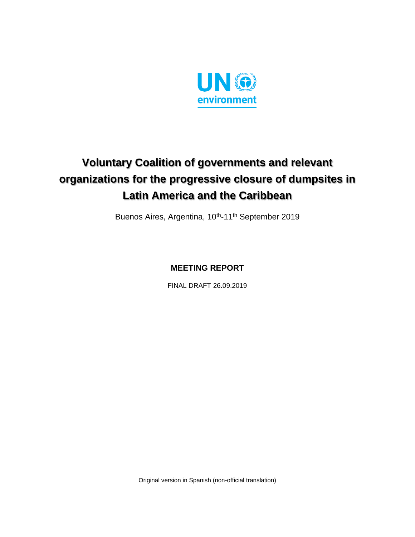

# **Voluntary Coalition of governments and relevant organizations for the progressive closure of dumpsites in Latin America and the Caribbean**

Buenos Aires, Argentina, 10<sup>th</sup>-11<sup>th</sup> September 2019

**MEETING REPORT**

FINAL DRAFT 26.09.2019

Original version in Spanish (non-official translation)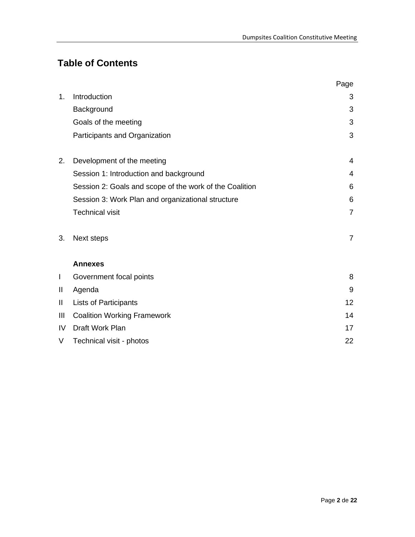# **Table of Contents**

|    |                                                         | Page           |
|----|---------------------------------------------------------|----------------|
| 1. | Introduction                                            | 3              |
|    | Background                                              | 3              |
|    | Goals of the meeting                                    | 3              |
|    | Participants and Organization                           | 3              |
| 2. | Development of the meeting                              | $\overline{4}$ |
|    | Session 1: Introduction and background                  | $\overline{4}$ |
|    | Session 2: Goals and scope of the work of the Coalition | 6              |
|    | Session 3: Work Plan and organizational structure       | 6              |
|    | <b>Technical visit</b>                                  | $\overline{7}$ |
| 3. | Next steps                                              | $\overline{7}$ |
|    | <b>Annexes</b>                                          |                |
| I  | Government focal points                                 | 8              |
| Ш  | Agenda                                                  | 9              |
| Ш  | <b>Lists of Participants</b>                            | 12             |
| Ш  | <b>Coalition Working Framework</b>                      | 14             |
| IV | Draft Work Plan                                         | 17             |
| V  | Technical visit - photos                                | 22             |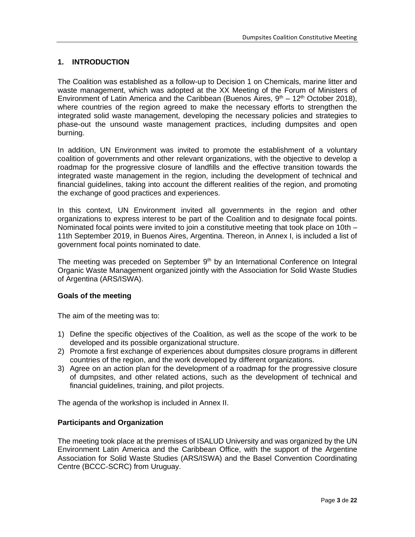### **1. INTRODUCTION**

The Coalition was established as a follow-up to Decision 1 on Chemicals, marine litter and waste management, which was adopted at the XX Meeting of the Forum of Ministers of Environment of Latin America and the Caribbean (Buenos Aires,  $9<sup>th</sup> - 12<sup>th</sup>$  October 2018), where countries of the region agreed to make the necessary efforts to strengthen the integrated solid waste management, developing the necessary policies and strategies to phase-out the unsound waste management practices, including dumpsites and open burning.

In addition, UN Environment was invited to promote the establishment of a voluntary coalition of governments and other relevant organizations, with the objective to develop a roadmap for the progressive closure of landfills and the effective transition towards the integrated waste management in the region, including the development of technical and financial guidelines, taking into account the different realities of the region, and promoting the exchange of good practices and experiences.

In this context, UN Environment invited all governments in the region and other organizations to express interest to be part of the Coalition and to designate focal points. Nominated focal points were invited to join a constitutive meeting that took place on 10th – 11th September 2019, in Buenos Aires, Argentina. Thereon, in Annex I, is included a list of government focal points nominated to date.

The meeting was preceded on September  $9<sup>th</sup>$  by an International Conference on Integral Organic Waste Management organized jointly with the Association for Solid Waste Studies of Argentina (ARS/ISWA).

### **Goals of the meeting**

The aim of the meeting was to:

- 1) Define the specific objectives of the Coalition, as well as the scope of the work to be developed and its possible organizational structure.
- 2) Promote a first exchange of experiences about dumpsites closure programs in different countries of the region, and the work developed by different organizations.
- 3) Agree on an action plan for the development of a roadmap for the progressive closure of dumpsites, and other related actions, such as the development of technical and financial guidelines, training, and pilot projects.

The agenda of the workshop is included in Annex II.

### **Participants and Organization**

The meeting took place at the premises of ISALUD University and was organized by the UN Environment Latin America and the Caribbean Office, with the support of the Argentine Association for Solid Waste Studies (ARS/ISWA) and the Basel Convention Coordinating Centre (BCCC-SCRC) from Uruguay.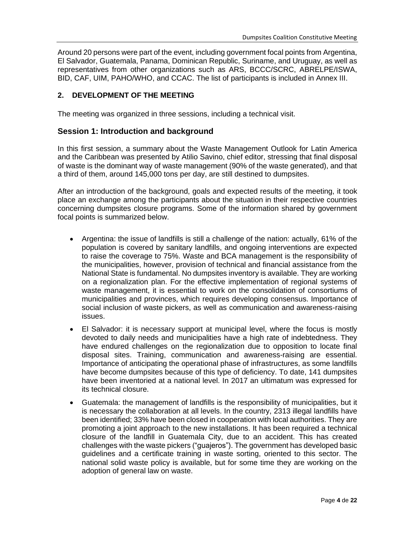Around 20 persons were part of the event, including government focal points from Argentina, El Salvador, Guatemala, Panama, Dominican Republic, Suriname, and Uruguay, as well as representatives from other organizations such as ARS, BCCC/SCRC, ABRELPE/ISWA, BID, CAF, UIM, PAHO/WHO, and CCAC. The list of participants is included in Annex III.

### **2. DEVELOPMENT OF THE MEETING**

The meeting was organized in three sessions, including a technical visit.

### **Session 1: Introduction and background**

In this first session, a summary about the Waste Management Outlook for Latin America and the Caribbean was presented by Atilio Savino, chief editor, stressing that final disposal of waste is the dominant way of waste management (90% of the waste generated), and that a third of them, around 145,000 tons per day, are still destined to dumpsites.

After an introduction of the background, goals and expected results of the meeting, it took place an exchange among the participants about the situation in their respective countries concerning dumpsites closure programs. Some of the information shared by government focal points is summarized below.

- Argentina: the issue of landfills is still a challenge of the nation: actually, 61% of the population is covered by sanitary landfills, and ongoing interventions are expected to raise the coverage to 75%. Waste and BCA management is the responsibility of the municipalities, however, provision of technical and financial assistance from the National State is fundamental. No dumpsites inventory is available. They are working on a regionalization plan. For the effective implementation of regional systems of waste management, it is essential to work on the consolidation of consortiums of municipalities and provinces, which requires developing consensus. Importance of social inclusion of waste pickers, as well as communication and awareness-raising issues.
- El Salvador: it is necessary support at municipal level, where the focus is mostly devoted to daily needs and municipalities have a high rate of indebtedness. They have endured challenges on the regionalization due to opposition to locate final disposal sites. Training, communication and awareness-raising are essential. Importance of anticipating the operational phase of infrastructures, as some landfills have become dumpsites because of this type of deficiency. To date, 141 dumpsites have been inventoried at a national level. In 2017 an ultimatum was expressed for its technical closure.
- Guatemala: the management of landfills is the responsibility of municipalities, but it is necessary the collaboration at all levels. In the country, 2313 illegal landfills have been identified; 33% have been closed in cooperation with local authorities. They are promoting a joint approach to the new installations. It has been required a technical closure of the landfill in Guatemala City, due to an accident. This has created challenges with the waste pickers ("guajeros"). The government has developed basic guidelines and a certificate training in waste sorting, oriented to this sector. The national solid waste policy is available, but for some time they are working on the adoption of general law on waste.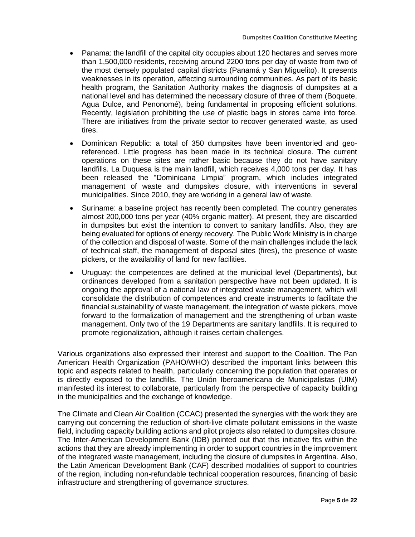- Panama: the landfill of the capital city occupies about 120 hectares and serves more than 1,500,000 residents, receiving around 2200 tons per day of waste from two of the most densely populated capital districts (Panamá y San Miguelito). It presents weaknesses in its operation, affecting surrounding communities. As part of its basic health program, the Sanitation Authority makes the diagnosis of dumpsites at a national level and has determined the necessary closure of three of them (Boquete, Agua Dulce, and Penonomé), being fundamental in proposing efficient solutions. Recently, legislation prohibiting the use of plastic bags in stores came into force. There are initiatives from the private sector to recover generated waste, as used tires.
- Dominican Republic: a total of 350 dumpsites have been inventoried and georeferenced. Little progress has been made in its technical closure. The current operations on these sites are rather basic because they do not have sanitary landfills. La Duquesa is the main landfill, which receives 4,000 tons per day. It has been released the "Dominicana Limpia" program, which includes integrated management of waste and dumpsites closure, with interventions in several municipalities. Since 2010, they are working in a general law of waste.
- Suriname: a baseline project has recently been completed. The country generates almost 200,000 tons per year (40% organic matter). At present, they are discarded in dumpsites but exist the intention to convert to sanitary landfills. Also, they are being evaluated for options of energy recovery. The Public Work Ministry is in charge of the collection and disposal of waste. Some of the main challenges include the lack of technical staff, the management of disposal sites (fires), the presence of waste pickers, or the availability of land for new facilities.
- Uruguay: the competences are defined at the municipal level (Departments), but ordinances developed from a sanitation perspective have not been updated. It is ongoing the approval of a national law of integrated waste management, which will consolidate the distribution of competences and create instruments to facilitate the financial sustainability of waste management, the integration of waste pickers, move forward to the formalization of management and the strengthening of urban waste management. Only two of the 19 Departments are sanitary landfills. It is required to promote regionalization, although it raises certain challenges.

Various organizations also expressed their interest and support to the Coalition. The Pan American Health Organization (PAHO/WHO) described the important links between this topic and aspects related to health, particularly concerning the population that operates or is directly exposed to the landfills. The Unión Iberoamericana de Municipalistas (UIM) manifested its interest to collaborate, particularly from the perspective of capacity building in the municipalities and the exchange of knowledge.

The Climate and Clean Air Coalition (CCAC) presented the synergies with the work they are carrying out concerning the reduction of short-live climate pollutant emissions in the waste field, including capacity building actions and pilot projects also related to dumpsites closure. The Inter-American Development Bank (IDB) pointed out that this initiative fits within the actions that they are already implementing in order to support countries in the improvement of the integrated waste management, including the closure of dumpsites in Argentina. Also, the Latin American Development Bank (CAF) described modalities of support to countries of the region, including non-refundable technical cooperation resources, financing of basic infrastructure and strengthening of governance structures.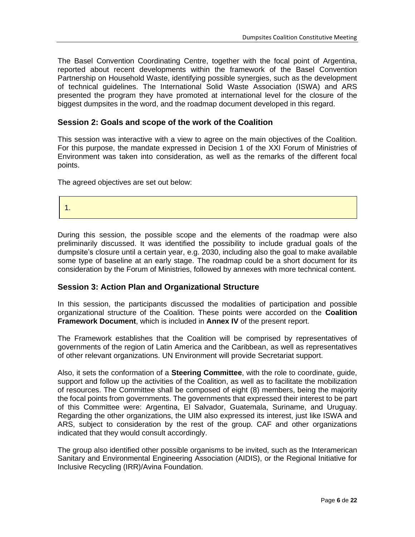The Basel Convention Coordinating Centre, together with the focal point of Argentina, reported about recent developments within the framework of the Basel Convention Partnership on Household Waste, identifying possible synergies, such as the development of technical guidelines. The International Solid Waste Association (ISWA) and ARS presented the program they have promoted at international level for the closure of the biggest dumpsites in the word, and the roadmap document developed in this regard.

### **Session 2: Goals and scope of the work of the Coalition**

This session was interactive with a view to agree on the main objectives of the Coalition. For this purpose, the mandate expressed in Decision 1 of the XXI Forum of Ministries of Environment was taken into consideration, as well as the remarks of the different focal points.

The agreed objectives are set out below:

1.

During this session, the possible scope and the elements of the roadmap were also preliminarily discussed. It was identified the possibility to include gradual goals of the dumpsite's closure until a certain year, e.g. 2030, including also the goal to make available some type of baseline at an early stage. The roadmap could be a short document for its consideration by the Forum of Ministries, followed by annexes with more technical content.

### **Session 3: Action Plan and Organizational Structure**

In this session, the participants discussed the modalities of participation and possible organizational structure of the Coalition. These points were accorded on the **Coalition Framework Document**, which is included in **Annex IV** of the present report.

The Framework establishes that the Coalition will be comprised by representatives of governments of the region of Latin America and the Caribbean, as well as representatives of other relevant organizations. UN Environment will provide Secretariat support.

Also, it sets the conformation of a **Steering Committee**, with the role to coordinate, guide, support and follow up the activities of the Coalition, as well as to facilitate the mobilization of resources. The Committee shall be composed of eight (8) members, being the majority the focal points from governments. The governments that expressed their interest to be part of this Committee were: Argentina, El Salvador, Guatemala, Suriname, and Uruguay. Regarding the other organizations, the UIM also expressed its interest, just like ISWA and ARS, subject to consideration by the rest of the group. CAF and other organizations indicated that they would consult accordingly.

The group also identified other possible organisms to be invited, such as the Interamerican Sanitary and Environmental Engineering Association (AIDIS), or the Regional Initiative for Inclusive Recycling (IRR)/Avina Foundation.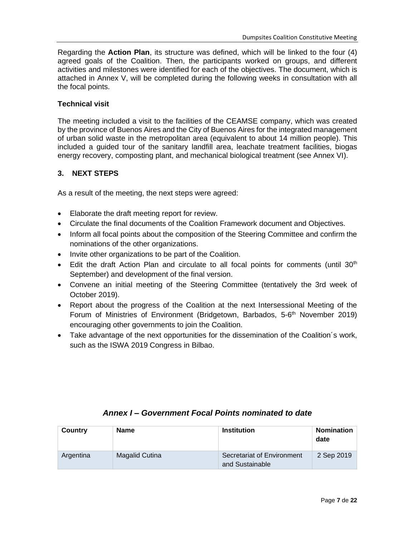Regarding the **Action Plan**, its structure was defined, which will be linked to the four (4) agreed goals of the Coalition. Then, the participants worked on groups, and different activities and milestones were identified for each of the objectives. The document, which is attached in Annex V, will be completed during the following weeks in consultation with all the focal points.

### **Technical visit**

The meeting included a visit to the facilities of the CEAMSE company, which was created by the province of Buenos Aires and the City of Buenos Aires for the integrated management of urban solid waste in the metropolitan area (equivalent to about 14 million people). This included a guided tour of the sanitary landfill area, leachate treatment facilities, biogas energy recovery, composting plant, and mechanical biological treatment (see Annex VI).

### **3. NEXT STEPS**

As a result of the meeting, the next steps were agreed:

- Elaborate the draft meeting report for review.
- Circulate the final documents of the Coalition Framework document and Objectives.
- Inform all focal points about the composition of the Steering Committee and confirm the nominations of the other organizations.
- Invite other organizations to be part of the Coalition.
- Edit the draft Action Plan and circulate to all focal points for comments (until  $30<sup>th</sup>$ September) and development of the final version.
- Convene an initial meeting of the Steering Committee (tentatively the 3rd week of October 2019).
- Report about the progress of the Coalition at the next Intersessional Meeting of the Forum of Ministries of Environment (Bridgetown, Barbados, 5-6<sup>th</sup> November 2019) encouraging other governments to join the Coalition.
- Take advantage of the next opportunities for the dissemination of the Coalition´s work, such as the ISWA 2019 Congress in Bilbao.

| Country   | Name           | <b>Institution</b>                            | <b>Nomination</b><br>date |
|-----------|----------------|-----------------------------------------------|---------------------------|
| Argentina | Magalid Cutina | Secretariat of Environment<br>and Sustainable | 2 Sep 2019                |

### *Annex I – Government Focal Points nominated to date*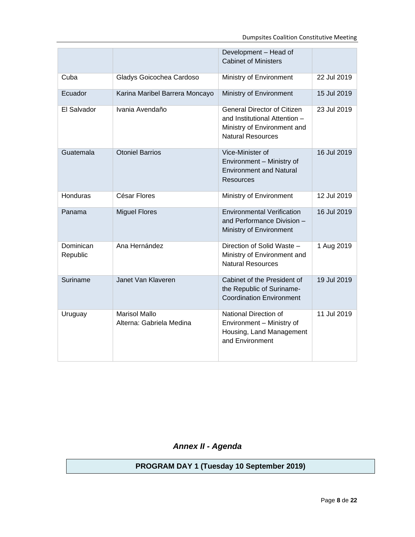|                       |                                                  | Development - Head of<br><b>Cabinet of Ministers</b>                                                                           |             |
|-----------------------|--------------------------------------------------|--------------------------------------------------------------------------------------------------------------------------------|-------------|
| Cuba                  | Gladys Goicochea Cardoso                         | Ministry of Environment                                                                                                        | 22 Jul 2019 |
| Ecuador               | Karina Maribel Barrera Moncayo                   | Ministry of Environment                                                                                                        | 15 Jul 2019 |
| El Salvador           | Ivania Avendaño                                  | <b>General Director of Citizen</b><br>and Institutional Attention -<br>Ministry of Environment and<br><b>Natural Resources</b> | 23 Jul 2019 |
| Guatemala             | <b>Otoniel Barrios</b>                           | Vice-Minister of<br>Environment - Ministry of<br><b>Environment and Natural</b><br>Resources                                   | 16 Jul 2019 |
| Honduras              | César Flores                                     | Ministry of Environment                                                                                                        | 12 Jul 2019 |
| Panama                | <b>Miguel Flores</b>                             | <b>Environmental Verification</b><br>and Performance Division -<br>Ministry of Environment                                     | 16 Jul 2019 |
| Dominican<br>Republic | Ana Hernández                                    | Direction of Solid Waste -<br>Ministry of Environment and<br><b>Natural Resources</b>                                          | 1 Aug 2019  |
| Suriname              | Janet Van Klaveren                               | Cabinet of the President of<br>the Republic of Suriname-<br><b>Coordination Environment</b>                                    | 19 Jul 2019 |
| Uruguay               | <b>Marisol Mallo</b><br>Alterna: Gabriela Medina | National Direction of<br>Environment - Ministry of<br>Housing, Land Management<br>and Environment                              | 11 Jul 2019 |

*Annex II - Agenda*

**PROGRAM DAY 1 (Tuesday 10 September 2019)**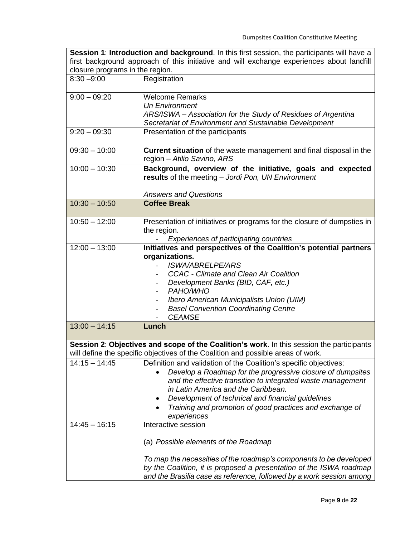| Session 1: Introduction and background. In this first session, the participants will have a |                                                                                           |  |  |  |
|---------------------------------------------------------------------------------------------|-------------------------------------------------------------------------------------------|--|--|--|
| first background approach of this initiative and will exchange experiences about landfill   |                                                                                           |  |  |  |
| closure programs in the region.                                                             |                                                                                           |  |  |  |
| $8:30 - 9:00$                                                                               | Registration                                                                              |  |  |  |
| $9:00 - 09:20$                                                                              | <b>Welcome Remarks</b>                                                                    |  |  |  |
|                                                                                             | <b>Un Environment</b>                                                                     |  |  |  |
|                                                                                             | ARS/ISWA - Association for the Study of Residues of Argentina                             |  |  |  |
|                                                                                             | Secretariat of Environment and Sustainable Development                                    |  |  |  |
| $9:20 - 09:30$                                                                              | Presentation of the participants                                                          |  |  |  |
| $09:30 - 10:00$                                                                             | Current situation of the waste management and final disposal in the                       |  |  |  |
|                                                                                             | region - Atilio Savino, ARS                                                               |  |  |  |
| $10:00 - 10:30$                                                                             | Background, overview of the initiative, goals and expected                                |  |  |  |
|                                                                                             | results of the meeting - Jordi Pon, UN Environment                                        |  |  |  |
|                                                                                             |                                                                                           |  |  |  |
|                                                                                             | <b>Answers and Questions</b>                                                              |  |  |  |
| $10:30 - 10:50$                                                                             | <b>Coffee Break</b>                                                                       |  |  |  |
|                                                                                             |                                                                                           |  |  |  |
| $10:50 - 12:00$                                                                             | Presentation of initiatives or programs for the closure of dumpsties in                   |  |  |  |
|                                                                                             | the region.                                                                               |  |  |  |
|                                                                                             | Experiences of participating countries                                                    |  |  |  |
| $12:00 - 13:00$                                                                             | Initiatives and perspectives of the Coalition's potential partners                        |  |  |  |
|                                                                                             | organizations.                                                                            |  |  |  |
|                                                                                             | <b>ISWA/ABRELPE/ARS</b>                                                                   |  |  |  |
|                                                                                             | <b>CCAC</b> - Climate and Clean Air Coalition                                             |  |  |  |
|                                                                                             | Development Banks (BID, CAF, etc.)                                                        |  |  |  |
|                                                                                             | PAHO/WHO                                                                                  |  |  |  |
|                                                                                             | Ibero American Municipalists Union (UIM)                                                  |  |  |  |
|                                                                                             | <b>Basel Convention Coordinating Centre</b><br><b>CEAMSE</b>                              |  |  |  |
| $13:00 - 14:15$                                                                             | Lunch                                                                                     |  |  |  |
|                                                                                             |                                                                                           |  |  |  |
|                                                                                             | Session 2: Objectives and scope of the Coalition's work. In this session the participants |  |  |  |
|                                                                                             | will define the specific objectives of the Coalition and possible areas of work.          |  |  |  |
| $14:15 - 14:45$                                                                             | Definition and validation of the Coalition's specific objectives:                         |  |  |  |
|                                                                                             | Develop a Roadmap for the progressive closure of dumpsites                                |  |  |  |
|                                                                                             | and the effective transition to integrated waste management                               |  |  |  |
|                                                                                             | in Latin America and the Caribbean.                                                       |  |  |  |
|                                                                                             | Development of technical and financial guidelines                                         |  |  |  |
|                                                                                             | Training and promotion of good practices and exchange of                                  |  |  |  |
| $14:45 - 16:15$                                                                             | experiences                                                                               |  |  |  |
|                                                                                             | Interactive session                                                                       |  |  |  |
|                                                                                             | (a) Possible elements of the Roadmap                                                      |  |  |  |
|                                                                                             | To map the necessities of the roadmap's components to be developed                        |  |  |  |
|                                                                                             | by the Coalition, it is proposed a presentation of the ISWA roadmap                       |  |  |  |
|                                                                                             | and the Brasilia case as reference, followed by a work session among                      |  |  |  |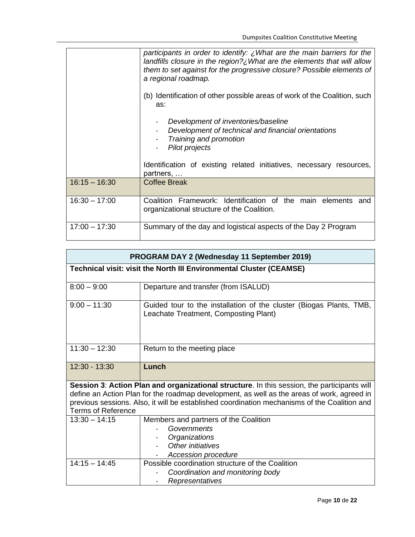|                 | participants in order to identify: ¿What are the main barriers for the<br>landfills closure in the region? $\lambda$ What are the elements that will allow<br>them to set against for the progressive closure? Possible elements of<br>a regional roadmap. |  |  |  |  |
|-----------------|------------------------------------------------------------------------------------------------------------------------------------------------------------------------------------------------------------------------------------------------------------|--|--|--|--|
|                 | (b) Identification of other possible areas of work of the Coalition, such<br>as:                                                                                                                                                                           |  |  |  |  |
|                 | Development of inventories/baseline<br>Development of technical and financial orientations<br>Training and promotion<br>Pilot projects                                                                                                                     |  |  |  |  |
|                 | Identification of existing related initiatives, necessary resources,<br>partners,                                                                                                                                                                          |  |  |  |  |
| $16:15 - 16:30$ | <b>Coffee Break</b>                                                                                                                                                                                                                                        |  |  |  |  |
| $16:30 - 17:00$ | Coalition Framework: Identification of the main elements and<br>organizational structure of the Coalition.                                                                                                                                                 |  |  |  |  |
| $17:00 - 17:30$ | Summary of the day and logistical aspects of the Day 2 Program                                                                                                                                                                                             |  |  |  |  |

| <b>PROGRAM DAY 2 (Wednesday 11 September 2019)</b> |                                                                                              |  |  |  |  |  |
|----------------------------------------------------|----------------------------------------------------------------------------------------------|--|--|--|--|--|
|                                                    | Technical visit: visit the North III Environmental Cluster (CEAMSE)                          |  |  |  |  |  |
|                                                    |                                                                                              |  |  |  |  |  |
| $8:00 - 9:00$                                      | Departure and transfer (from ISALUD)                                                         |  |  |  |  |  |
| $9:00 - 11:30$                                     | Guided tour to the installation of the cluster (Biogas Plants, TMB,                          |  |  |  |  |  |
|                                                    | Leachate Treatment, Composting Plant)                                                        |  |  |  |  |  |
|                                                    |                                                                                              |  |  |  |  |  |
|                                                    |                                                                                              |  |  |  |  |  |
| $11:30 - 12:30$                                    | Return to the meeting place                                                                  |  |  |  |  |  |
|                                                    |                                                                                              |  |  |  |  |  |
| $12:30 - 13:30$                                    | Lunch                                                                                        |  |  |  |  |  |
|                                                    |                                                                                              |  |  |  |  |  |
|                                                    | Session 3: Action Plan and organizational structure. In this session, the participants will  |  |  |  |  |  |
|                                                    | define an Action Plan for the roadmap development, as well as the areas of work, agreed in   |  |  |  |  |  |
| <b>Terms of Reference</b>                          | previous sessions. Also, it will be established coordination mechanisms of the Coalition and |  |  |  |  |  |
| $13:30 - 14:15$                                    | Members and partners of the Coalition                                                        |  |  |  |  |  |
|                                                    | Governments                                                                                  |  |  |  |  |  |
|                                                    | Organizations                                                                                |  |  |  |  |  |
|                                                    | Other initiatives                                                                            |  |  |  |  |  |
|                                                    | Accession procedure                                                                          |  |  |  |  |  |
| $14:15 - 14:45$                                    | Possible coordination structure of the Coalition                                             |  |  |  |  |  |
|                                                    | Coordination and monitoring body                                                             |  |  |  |  |  |
|                                                    | Representatives                                                                              |  |  |  |  |  |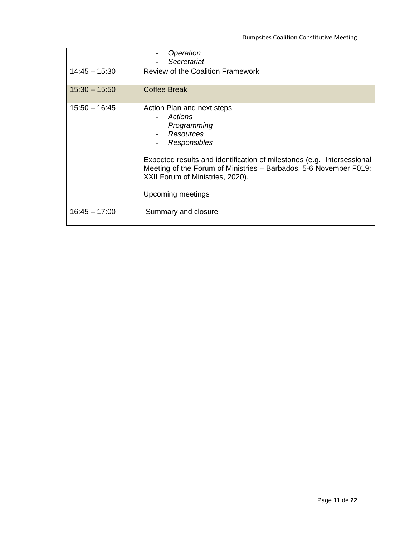|                 | Operation<br>Secretariat                                                                                                                                                                                                                                                                  |
|-----------------|-------------------------------------------------------------------------------------------------------------------------------------------------------------------------------------------------------------------------------------------------------------------------------------------|
| $14:45 - 15:30$ | <b>Review of the Coalition Framework</b>                                                                                                                                                                                                                                                  |
| $15:30 - 15:50$ | <b>Coffee Break</b>                                                                                                                                                                                                                                                                       |
| $15:50 - 16:45$ | Action Plan and next steps<br>Actions<br>Programming<br>Resources<br>Responsibles<br>Expected results and identification of milestones (e.g. Intersessional<br>Meeting of the Forum of Ministries - Barbados, 5-6 November F019;<br>XXII Forum of Ministries, 2020).<br>Upcoming meetings |
| $16:45 - 17:00$ | Summary and closure                                                                                                                                                                                                                                                                       |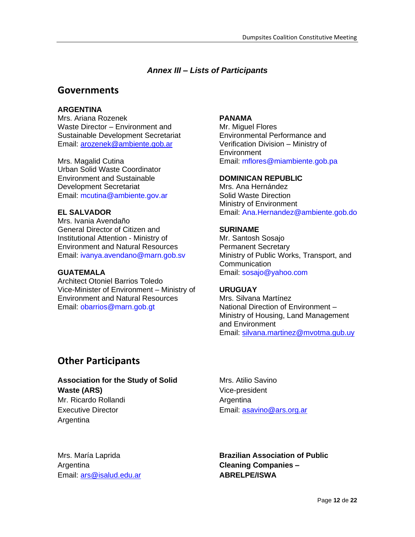## *Annex III – Lists of Participants*

# **Governments**

### **ARGENTINA**

Mrs. Ariana Rozenek Waste Director – Environment and Sustainable Development Secretariat Email: [arozenek@ambiente.gob.ar](mailto:arozenek@ambiente.gob.ar)

Mrs. Magalid Cutina Urban Solid Waste Coordinator Environment and Sustainable Development Secretariat Email: [mcutina@ambiente.gov.ar](mailto:mcutina@ambiente.gov.ar)

### **EL SALVADOR**

Mrs. Ivania Avendaño General Director of Citizen and Institutional Attention - Ministry of Environment and Natural Resources Email: [ivanya.avendano@marn.gob.sv](mailto:ivanya.avendano@marn.gob.sv)

### **GUATEMALA**

Architect Otoniel Barrios Toledo Vice-Minister of Environment – Ministry of Environment and Natural Resources Email: [obarrios@marn.gob.gt](mailto:obarrios@marn.gob.gt)

### **PANAMA**

Mr. Miguel Flores Environmental Performance and Verification Division – Ministry of **Environment** Email: [mflores@miambiente.gob.pa](mailto:mflores@miambiente.gob.pa)

### **DOMINICAN REPUBLIC**

Mrs. Ana Hernández Solid Waste Direction Ministry of Environment Email: [Ana.Hernandez@ambiente.gob.do](mailto:Ana.Hernandez@ambiente.gob.do)

### **SURINAME**

Mr. Santosh Sosajo Permanent Secretary Ministry of Public Works, Transport, and **Communication** Email: [sosajo@yahoo.com](mailto:sosajo@yahoo.com)

### **URUGUAY**

Mrs. Silvana Martínez National Direction of Environment – Ministry of Housing, Land Management and Environment Email: [silvana.martinez@mvotma.gub.uy](mailto:silvana.martinez@mvotma.gub.uy)

# **Other Participants**

**Association for the Study of Solid Waste (ARS)** Mr. Ricardo Rollandi Executive Director

Mrs. Atilio Savino Vice-president Argentina Email: [asavino@ars.org.ar](mailto:asavino@ars.org.ar)

Mrs. María Laprida Argentina Email: [ars@isalud.edu.ar](mailto:ars@isalud.edu.ar)

Argentina

**Brazilian Association of Public Cleaning Companies – ABRELPE/ISWA**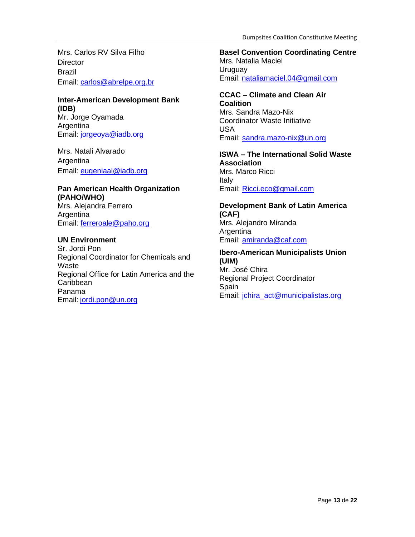Mrs. Carlos RV Silva Filho **Director** Brazil Email: [carlos@abrelpe.org.br](mailto:carlos@abrelpe.org.br)

# **Inter-American Development Bank (IDB)** Mr. Jorge Oyamada

Argentina Email: [jorgeoya@iadb.org](mailto:jorgeoya@iadb.org)

Mrs. Natali Alvarado Argentina Email: [eugeniaal@iadb.org](mailto:eugeniaal@iadb.org)

### **Pan American Health Organization (PAHO/WHO)** Mrs. Alejandra Ferrero Argentina

Email: [ferreroale@paho.org](mailto:ferreroale@paho.org)

### **UN Environment**

Sr. Jordi Pon Regional Coordinator for Chemicals and **Waste** Regional Office for Latin America and the **Caribbean** Panama Email: [jordi.pon@un.org](mailto:jordi.pon@un.org)

**Basel Convention Coordinating Centre**  Mrs. Natalia Maciel Uruguay Email: [nataliamaciel.04@gmail.com](mailto:nataliamaciel.04@gmail.com)

#### **CCAC – Climate and Clean Air Coalition**

Mrs. Sandra Mazo-Nix Coordinator Waste Initiative USA Email: [sandra.mazo-nix@un.org](mailto:sandra.mazo-nix@un.org)

### **ISWA – The International Solid Waste Association** Mrs. Marco Ricci Italy Email: [Ricci.eco@gmail.com](mailto:Ricci.eco@gmail.com)

### **Development Bank of Latin America (CAF)** Mrs. Alejandro Miranda Argentina Email: [amiranda@caf.com](mailto:amiranda@caf.com)

# **Ibero-American Municipalists Union (UIM)** Mr. José Chira Regional Project Coordinator

Spain Email: [jchira\\_act@municipalistas.org](mailto:jchira_act@municipalistas.org)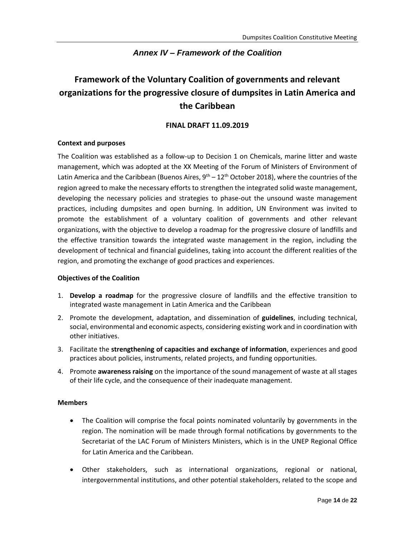# *Annex IV – Framework of the Coalition*

# **Framework of the Voluntary Coalition of governments and relevant organizations for the progressive closure of dumpsites in Latin America and the Caribbean**

### **FINAL DRAFT 11.09.2019**

### **Context and purposes**

The Coalition was established as a follow-up to Decision 1 on Chemicals, marine litter and waste management, which was adopted at the XX Meeting of the Forum of Ministers of Environment of Latin America and the Caribbean (Buenos Aires,  $9^{th} - 12^{th}$  October 2018), where the countries of the region agreed to make the necessary efforts to strengthen the integrated solid waste management, developing the necessary policies and strategies to phase-out the unsound waste management practices, including dumpsites and open burning. In addition, UN Environment was invited to promote the establishment of a voluntary coalition of governments and other relevant organizations, with the objective to develop a roadmap for the progressive closure of landfills and the effective transition towards the integrated waste management in the region, including the development of technical and financial guidelines, taking into account the different realities of the region, and promoting the exchange of good practices and experiences.

### **Objectives of the Coalition**

- 1. **Develop a roadmap** for the progressive closure of landfills and the effective transition to integrated waste management in Latin America and the Caribbean
- 2. Promote the development, adaptation, and dissemination of **guidelines**, including technical, social, environmental and economic aspects, considering existing work and in coordination with other initiatives.
- 3. Facilitate the **strengthening of capacities and exchange of information**, experiences and good practices about policies, instruments, related projects, and funding opportunities.
- 4. Promote **awareness raising** on the importance of the sound management of waste at all stages of their life cycle, and the consequence of their inadequate management.

### **Members**

- The Coalition will comprise the focal points nominated voluntarily by governments in the region. The nomination will be made through formal notifications by governments to the Secretariat of the LAC Forum of Ministers Ministers, which is in the UNEP Regional Office for Latin America and the Caribbean.
- Other stakeholders, such as international organizations, regional or national, intergovernmental institutions, and other potential stakeholders, related to the scope and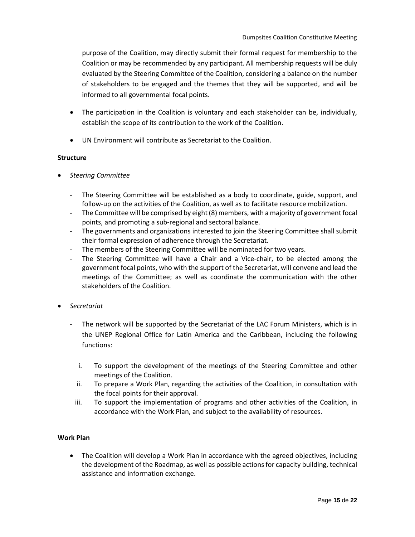purpose of the Coalition, may directly submit their formal request for membership to the Coalition or may be recommended by any participant. All membership requests will be duly evaluated by the Steering Committee of the Coalition, considering a balance on the number of stakeholders to be engaged and the themes that they will be supported, and will be informed to all governmental focal points.

- The participation in the Coalition is voluntary and each stakeholder can be, individually, establish the scope of its contribution to the work of the Coalition.
- UN Environment will contribute as Secretariat to the Coalition.

### **Structure**

- *Steering Committee*
	- The Steering Committee will be established as a body to coordinate, guide, support, and follow-up on the activities of the Coalition, as well as to facilitate resource mobilization.
	- The Committee will be comprised by eight (8) members, with a majority of government focal points, and promoting a sub-regional and sectoral balance.
	- The governments and organizations interested to join the Steering Committee shall submit their formal expression of adherence through the Secretariat.
	- The members of the Steering Committee will be nominated for two years.
	- The Steering Committee will have a Chair and a Vice-chair, to be elected among the government focal points, who with the support of the Secretariat, will convene and lead the meetings of the Committee; as well as coordinate the communication with the other stakeholders of the Coalition.
- *Secretariat*
	- The network will be supported by the Secretariat of the LAC Forum Ministers, which is in the UNEP Regional Office for Latin America and the Caribbean, including the following functions:
		- i. To support the development of the meetings of the Steering Committee and other meetings of the Coalition.
		- ii. To prepare a Work Plan, regarding the activities of the Coalition, in consultation with the focal points for their approval.
		- iii. To support the implementation of programs and other activities of the Coalition, in accordance with the Work Plan, and subject to the availability of resources.

### **Work Plan**

• The Coalition will develop a Work Plan in accordance with the agreed objectives, including the development of the Roadmap, as well as possible actions for capacity building, technical assistance and information exchange.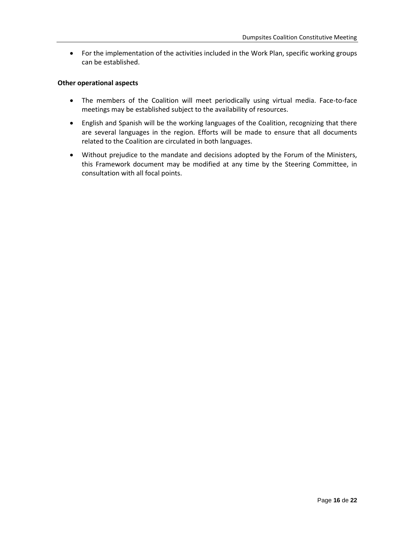• For the implementation of the activities included in the Work Plan, specific working groups can be established.

#### **Other operational aspects**

- The members of the Coalition will meet periodically using virtual media. Face-to-face meetings may be established subject to the availability of resources.
- English and Spanish will be the working languages of the Coalition, recognizing that there are several languages in the region. Efforts will be made to ensure that all documents related to the Coalition are circulated in both languages.
- Without prejudice to the mandate and decisions adopted by the Forum of the Ministers, this Framework document may be modified at any time by the Steering Committee, in consultation with all focal points.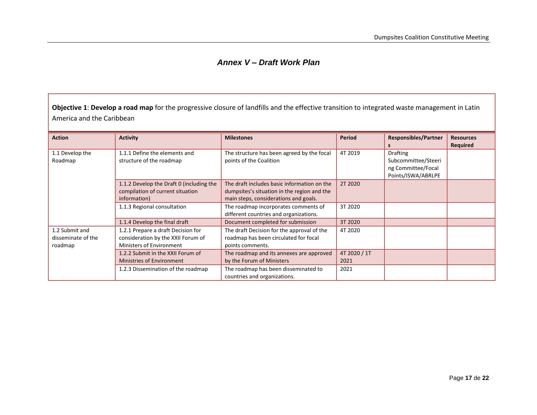# *Annex V – Draft Work Plan*

**Objective 1**: **Develop a road map** for the progressive closure of landfills and the effective transition to integrated waste management in Latin America and the Caribbean

| <b>Action</b>                                   | <b>Activity</b>                                                                                             | <b>Milestones</b>                                                                                                                   | <b>Period</b>        | <b>Responsibles/Partner</b>                                                        | <b>Resources</b><br>Required |
|-------------------------------------------------|-------------------------------------------------------------------------------------------------------------|-------------------------------------------------------------------------------------------------------------------------------------|----------------------|------------------------------------------------------------------------------------|------------------------------|
| 1.1 Develop the<br>Roadmap                      | 1.1.1 Define the elements and<br>structure of the roadmap                                                   | The structure has been agreed by the focal<br>points of the Coalition                                                               | 4T 2019              | <b>Drafting</b><br>Subcommittee/Steeri<br>ng Committee/Focal<br>Points/ISWA/ABRLPE |                              |
|                                                 | 1.1.2 Develop the Draft 0 (including the<br>compilation of current situation<br>information)                | The draft includes basic information on the<br>dumpsites's situation in the region and the<br>main steps, considerations and goals. | 2T 2020              |                                                                                    |                              |
|                                                 | 1.1.3 Regional consultation                                                                                 | The roadmap incorporates comments of<br>different countries and organizations.                                                      | 3T 2020              |                                                                                    |                              |
|                                                 | 1.1.4 Develop the final draft                                                                               | Document completed for submission                                                                                                   | 3T 2020              |                                                                                    |                              |
| 1.2 Submit and<br>disseminate of the<br>roadmap | 1.2.1 Prepare a draft Decision for<br>consideration by the XXII Forum of<br><b>Ministers of Environment</b> | The draft Decision for the approval of the<br>roadmap has been circulated for focal<br>points comments.                             | 4T 2020              |                                                                                    |                              |
|                                                 | 1.2.2 Submit in the XXII Forum of<br><b>Ministries of Environment</b>                                       | The roadmap and its annexes are approved<br>by the Forum of Ministers                                                               | 4T 2020 / 1T<br>2021 |                                                                                    |                              |
|                                                 | 1.2.3 Dissemination of the roadmap                                                                          | The roadmap has been disseminated to<br>countries and organizations.                                                                | 2021                 |                                                                                    |                              |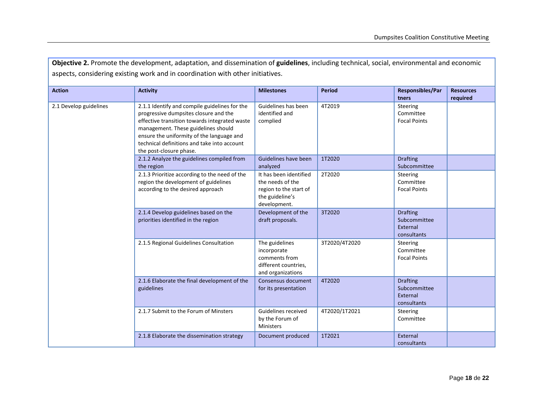| Objective 2. Promote the development, adaptation, and dissemination of guidelines, including technical, social, environmental and economic<br>aspects, considering existing work and in coordination with other initiatives. |                                                                                                                                                                                                                                                                                                       |                                                                                                         |               |                                                            |                              |  |
|------------------------------------------------------------------------------------------------------------------------------------------------------------------------------------------------------------------------------|-------------------------------------------------------------------------------------------------------------------------------------------------------------------------------------------------------------------------------------------------------------------------------------------------------|---------------------------------------------------------------------------------------------------------|---------------|------------------------------------------------------------|------------------------------|--|
| <b>Action</b>                                                                                                                                                                                                                | <b>Activity</b>                                                                                                                                                                                                                                                                                       | <b>Milestones</b>                                                                                       | <b>Period</b> | Responsibles/Par<br>tners                                  | <b>Resources</b><br>required |  |
| 2.1 Develop guidelines                                                                                                                                                                                                       | 2.1.1 Identify and compile guidelines for the<br>progressive dumpsites closure and the<br>effective transition towards integrated waste<br>management. These guidelines should<br>ensure the uniformity of the language and<br>technical definitions and take into account<br>the post-closure phase. | Guidelines has been<br>identified and<br>complied                                                       | 4T2019        | <b>Steering</b><br>Committee<br><b>Focal Points</b>        |                              |  |
|                                                                                                                                                                                                                              | 2.1.2 Analyze the guidelines compiled from<br>the region                                                                                                                                                                                                                                              | Guidelines have been<br>analyzed                                                                        | 1T2020        | <b>Drafting</b><br>Subcommittee                            |                              |  |
|                                                                                                                                                                                                                              | 2.1.3 Prioritize according to the need of the<br>region the development of guidelines<br>according to the desired approach                                                                                                                                                                            | It has been identified<br>the needs of the<br>region to the start of<br>the guideline's<br>development. | 2T2020        | Steering<br>Committee<br><b>Focal Points</b>               |                              |  |
|                                                                                                                                                                                                                              | 2.1.4 Develop guidelines based on the<br>priorities identified in the region                                                                                                                                                                                                                          | Development of the<br>draft proposals.                                                                  | 3T2020        | <b>Drafting</b><br>Subcommittee<br>External<br>consultants |                              |  |
|                                                                                                                                                                                                                              | 2.1.5 Regional Guidelines Consultation                                                                                                                                                                                                                                                                | The guidelines<br>incorporate<br>comments from<br>different countries,<br>and organizations             | 3T2020/4T2020 | Steering<br>Committee<br><b>Focal Points</b>               |                              |  |
|                                                                                                                                                                                                                              | 2.1.6 Elaborate the final development of the<br>guidelines                                                                                                                                                                                                                                            | Consensus document<br>for its presentation                                                              | 4T2020        | <b>Drafting</b><br>Subcommittee<br>External<br>consultants |                              |  |
|                                                                                                                                                                                                                              | 2.1.7 Submit to the Forum of Minsters                                                                                                                                                                                                                                                                 | Guidelines received<br>by the Forum of<br><b>Ministers</b>                                              | 4T2020/1T2021 | <b>Steering</b><br>Committee                               |                              |  |
|                                                                                                                                                                                                                              | 2.1.8 Elaborate the dissemination strategy                                                                                                                                                                                                                                                            | Document produced                                                                                       | 1T2021        | External<br>consultants                                    |                              |  |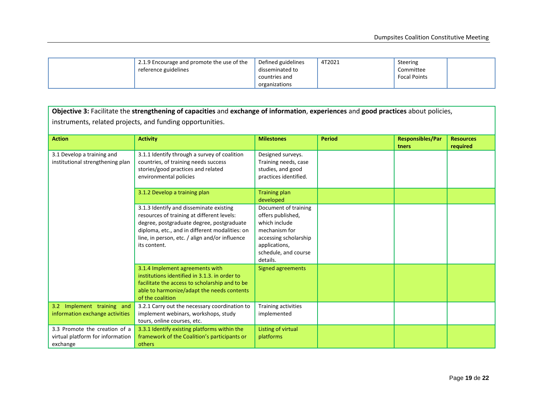| 2.1.9 Encourage and promote the use of the | Defined guidelines<br>disseminated to | 4T2021 | Steering                         |  |
|--------------------------------------------|---------------------------------------|--------|----------------------------------|--|
| reference guidelines                       | countries and                         |        | Committee<br><b>Focal Points</b> |  |
|                                            | organizations                         |        |                                  |  |

| Objective 3: Facilitate the strengthening of capacities and exchange of information, experiences and good practices about policies,<br>instruments, related projects, and funding opportunities. |                                                                                                                                                                                                                                                        |                                                                                                                                                           |               |                                  |                              |  |  |
|--------------------------------------------------------------------------------------------------------------------------------------------------------------------------------------------------|--------------------------------------------------------------------------------------------------------------------------------------------------------------------------------------------------------------------------------------------------------|-----------------------------------------------------------------------------------------------------------------------------------------------------------|---------------|----------------------------------|------------------------------|--|--|
| <b>Action</b>                                                                                                                                                                                    | <b>Activity</b>                                                                                                                                                                                                                                        | <b>Milestones</b>                                                                                                                                         | <b>Period</b> | <b>Responsibles/Par</b><br>tners | <b>Resources</b><br>required |  |  |
| 3.1 Develop a training and<br>institutional strengthening plan                                                                                                                                   | 3.1.1 Identify through a survey of coalition<br>countries, of training needs success<br>stories/good practices and related<br>environmental policies                                                                                                   | Designed surveys.<br>Training needs, case<br>studies, and good<br>practices identified.                                                                   |               |                                  |                              |  |  |
|                                                                                                                                                                                                  | 3.1.2 Develop a training plan                                                                                                                                                                                                                          | <b>Training plan</b><br>developed                                                                                                                         |               |                                  |                              |  |  |
|                                                                                                                                                                                                  | 3.1.3 Identify and disseminate existing<br>resources of training at different levels:<br>degree, postgraduate degree, postgraduate<br>diploma, etc., and in different modalities: on<br>line, in person, etc. / align and/or influence<br>its content. | Document of training<br>offers published,<br>which include<br>mechanism for<br>accessing scholarship<br>applications,<br>schedule, and course<br>details. |               |                                  |                              |  |  |
|                                                                                                                                                                                                  | 3.1.4 Implement agreements with<br>institutions identified in 3.1.3. in order to<br>facilitate the access to scholarship and to be<br>able to harmonize/adapt the needs contents<br>of the coalition                                                   | Signed agreements                                                                                                                                         |               |                                  |                              |  |  |
| 3.2 Implement training and<br>information exchange activities                                                                                                                                    | 3.2.1 Carry out the necessary coordination to<br>implement webinars, workshops, study<br>tours, online courses, etc.                                                                                                                                   | Training activities<br>implemented                                                                                                                        |               |                                  |                              |  |  |
| 3.3 Promote the creation of a<br>virtual platform for information<br>exchange                                                                                                                    | 3.3.1 Identify existing platforms within the<br>framework of the Coalition's participants or<br>others                                                                                                                                                 | Listing of virtual<br>platforms                                                                                                                           |               |                                  |                              |  |  |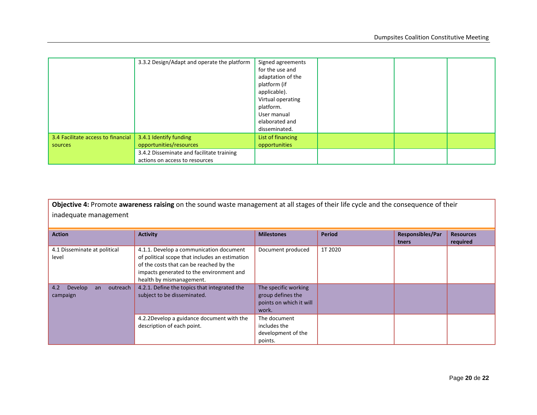|                                               | 3.3.2 Design/Adapt and operate the platform                                 | Signed agreements<br>for the use and<br>adaptation of the<br>platform (if<br>applicable).<br>Virtual operating<br>platform.<br>User manual |  |  |
|-----------------------------------------------|-----------------------------------------------------------------------------|--------------------------------------------------------------------------------------------------------------------------------------------|--|--|
|                                               |                                                                             | elaborated and<br>disseminated.                                                                                                            |  |  |
| 3.4 Facilitate access to financial<br>sources | 3.4.1 Identify funding<br>opportunities/resources                           | List of financing<br>opportunities                                                                                                         |  |  |
|                                               | 3.4.2 Disseminate and facilitate training<br>actions on access to resources |                                                                                                                                            |  |  |

**Objective 4:** Promote **awareness raising** on the sound waste management at all stages of their life cycle and the consequence of their inadequate management

| <b>Action</b>                                | <b>Activity</b>                                                                                                                                                                                              | <b>Milestones</b>                                                             | Period  | <b>Responsibles/Par</b><br>tners | <b>Resources</b><br>required |
|----------------------------------------------|--------------------------------------------------------------------------------------------------------------------------------------------------------------------------------------------------------------|-------------------------------------------------------------------------------|---------|----------------------------------|------------------------------|
| 4.1 Disseminate at political<br>level        | 4.1.1. Develop a communication document<br>of political scope that includes an estimation<br>of the costs that can be reached by the<br>impacts generated to the environment and<br>health by mismanagement. | Document produced                                                             | 1T 2020 |                                  |                              |
| outreach<br>4.2<br>Develop<br>an<br>campaign | 4.2.1. Define the topics that integrated the<br>subject to be disseminated.                                                                                                                                  | The specific working<br>group defines the<br>points on which it will<br>work. |         |                                  |                              |
|                                              | 4.2.2Develop a guidance document with the<br>description of each point.                                                                                                                                      | The document<br>includes the<br>development of the<br>points.                 |         |                                  |                              |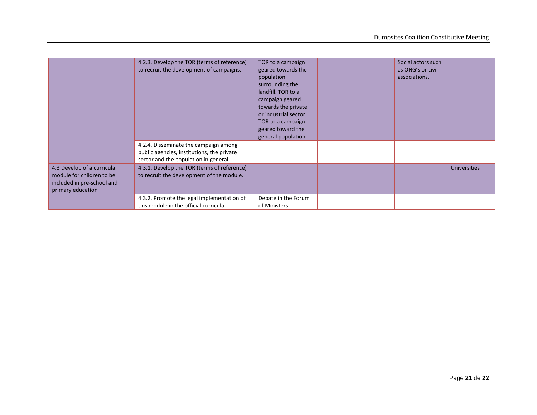|                                                                                                             | 4.2.3. Develop the TOR (terms of reference)<br>to recruit the development of campaigns.                                     | TOR to a campaign<br>geared towards the<br>population<br>surrounding the<br>landfill. TOR to a<br>campaign geared<br>towards the private<br>or industrial sector.<br>TOR to a campaign<br>geared toward the<br>general population. | Social actors such<br>as ONG's or civil<br>associations. |                     |
|-------------------------------------------------------------------------------------------------------------|-----------------------------------------------------------------------------------------------------------------------------|------------------------------------------------------------------------------------------------------------------------------------------------------------------------------------------------------------------------------------|----------------------------------------------------------|---------------------|
|                                                                                                             | 4.2.4. Disseminate the campaign among<br>public agencies, institutions, the private<br>sector and the population in general |                                                                                                                                                                                                                                    |                                                          |                     |
| 4.3 Develop of a curricular<br>module for children to be<br>included in pre-school and<br>primary education | 4.3.1. Develop the TOR (terms of reference)<br>to recruit the development of the module.                                    |                                                                                                                                                                                                                                    |                                                          | <b>Universities</b> |
|                                                                                                             | 4.3.2. Promote the legal implementation of<br>this module in the official curricula.                                        | Debate in the Forum<br>of Ministers                                                                                                                                                                                                |                                                          |                     |